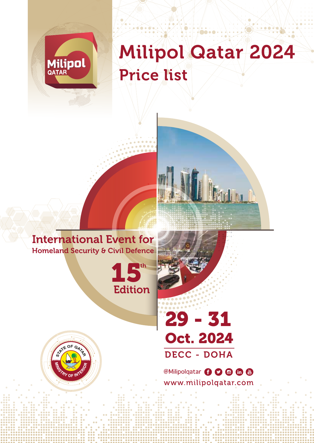

## Milipol Qatar 2024 Price list

**Bélidhen** 

## International Event for Homeland Security & Civil Defence





**@Milipolqatar + 0 0 6 6** www.milipolqatar.com